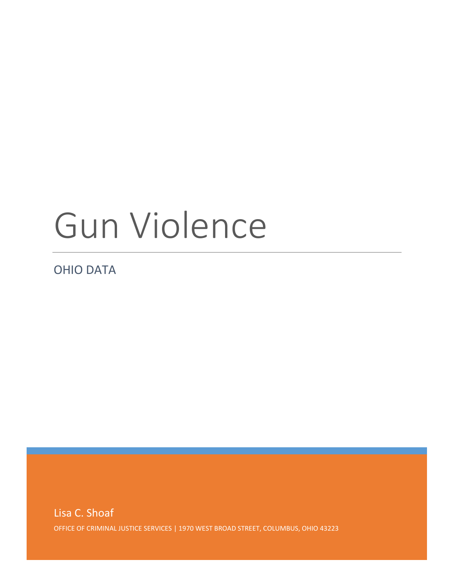# Gun Violence

OHIO DATA

Lisa C. Shoaf OFFICE OF CRIMINAL JUSTICE SERVICES | 1970 WEST BROAD STREET, COLUMBUS, OHIO 43223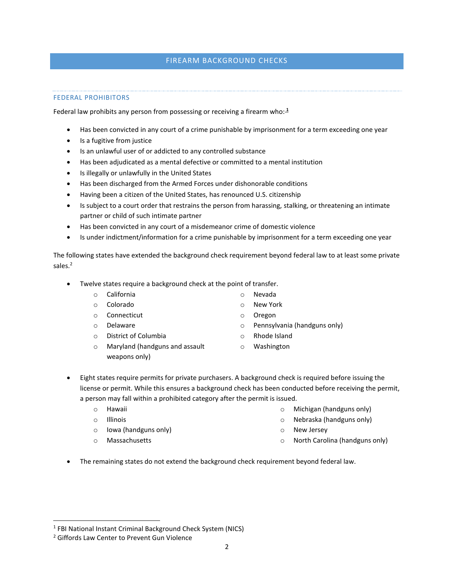# FIREARM BACKGROUND CHECKS

# FEDERAL PROHIBITORS

Federal law prohibits any person from possessing or receiving a firearm who: $\frac{1}{2}$ 

- Has been convicted in any court of a crime punishable by imprisonment for a term exceeding one year
- Is a fugitive from justice
- Is an unlawful user of or addicted to any controlled substance
- Has been adjudicated as a mental defective or committed to a mental institution
- Is illegally or unlawfully in the United States
- Has been discharged from the Armed Forces under dishonorable conditions
- Having been a citizen of the United States, has renounced U.S. citizenship
- Is subject to a court order that restrains the person from harassing, stalking, or threatening an intimate partner or child of such intimate partner
- Has been convicted in any court of a misdemeanor crime of domestic violence
- Is under indictment/information for a crime punishable by imprisonment for a term exceeding one year

The following states have extended the background check requirement beyond federal law to at least some private sales.<sup>2</sup>

- Twelve states require a background check at the point of transfer.
	- o California
		- o Colorado
		- o Connecticut
	- o Delaware
	- o District of Columbia
	- o Maryland (handguns and assault weapons only)
- o Rhode Island

o Pennsylvania (handguns only)

o Washington

o Nevada o New York o Oregon

- Eight states require permits for private purchasers. A background check is required before issuing the license or permit. While this ensures a background check has been conducted before receiving the permit, a person may fall within a prohibited category after the permit is issued.
	- o Hawaii
	- o Illinois
	- o Iowa (handguns only)
	- o Massachusetts
- o Michigan (handguns only)
- o Nebraska (handguns only)
- o New Jersey
- o North Carolina (handguns only)
- The remaining states do not extend the background check requirement beyond federal law.

<sup>&</sup>lt;sup>1</sup> FBI National Instant Criminal Background Check System (NICS)

<sup>2</sup> Giffords Law Center to Prevent Gun Violence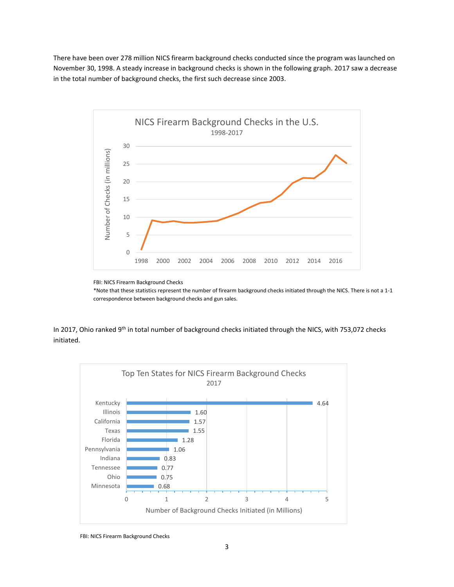There have been over 278 million NICS firearm background checks conducted since the program was launched on November 30, 1998. A steady increase in background checks is shown in the following graph. 2017 saw a decrease in the total number of background checks, the first such decrease since 2003.



FBI: NICS Firearm Background Checks

\*Note that these statistics represent the number of firearm background checks initiated through the NICS. There is not a 1-1 correspondence between background checks and gun sales.

In 2017, Ohio ranked 9<sup>th</sup> in total number of background checks initiated through the NICS, with 753,072 checks initiated.



FBI: NICS Firearm Background Checks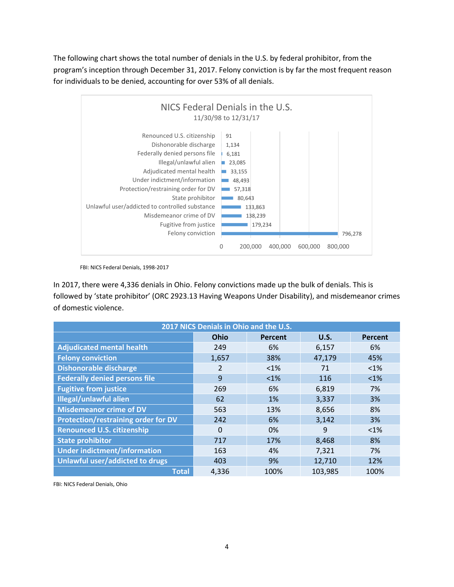The following chart shows the total number of denials in the U.S. by federal prohibitor, from the program's inception through December 31, 2017. Felony conviction is by far the most frequent reason for individuals to be denied, accounting for over 53% of all denials.



FBI: NICS Federal Denials, 1998-2017

In 2017, there were 4,336 denials in Ohio. Felony convictions made up the bulk of denials. This is followed by 'state prohibitor' (ORC 2923.13 Having Weapons Under Disability), and misdemeanor crimes of domestic violence.

| 2017 NICS Denials in Ohio and the U.S. |          |         |             |         |  |  |
|----------------------------------------|----------|---------|-------------|---------|--|--|
|                                        | Ohio     | Percent | <b>U.S.</b> | Percent |  |  |
| <b>Adjudicated mental health</b>       | 249      | 6%      | 6,157       | 6%      |  |  |
| <b>Felony conviction</b>               | 1,657    | 38%     | 47,179      | 45%     |  |  |
| <b>Dishonorable discharge</b>          | 2        | $< 1\%$ | 71          | <1%     |  |  |
| <b>Federally denied persons file</b>   | 9        | $<1\%$  | 116         | $<1\%$  |  |  |
| <b>Fugitive from justice</b>           | 269      | 6%      | 6,819       | 7%      |  |  |
| <b>Illegal/unlawful alien</b>          | 62       | 1%      | 3,337       | 3%      |  |  |
| <b>Misdemeanor crime of DV</b>         | 563      | 13%     | 8,656       | 8%      |  |  |
| Protection/restraining order for DV    | 242      | 6%      | 3,142       | 3%      |  |  |
| <b>Renounced U.S. citizenship</b>      | $\Omega$ | 0%      | 9           | $< 1\%$ |  |  |
| <b>State prohibitor</b>                | 717      | 17%     | 8,468       | 8%      |  |  |
| <b>Under indictment/information</b>    | 163      | 4%      | 7,321       | 7%      |  |  |
| Unlawful user/addicted to drugs        | 403      | 9%      | 12,710      | 12%     |  |  |
| <b>Total</b>                           | 4,336    | 100%    | 103,985     | 100%    |  |  |

FBI: NICS Federal Denials, Ohio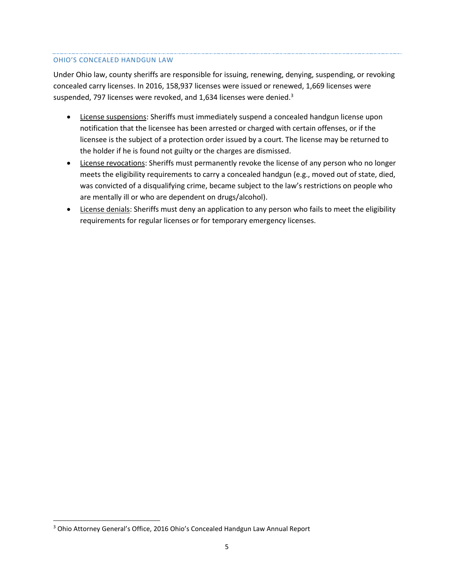#### OHIO'S CONCEALED HANDGUN LAW

Under Ohio law, county sheriffs are responsible for issuing, renewing, denying, suspending, or revoking concealed carry licenses. In 2016, 158,937 licenses were issued or renewed, 1,669 licenses were suspended, 797 licenses were revoked, and 1,634 licenses were denied.<sup>3</sup>

- License suspensions: Sheriffs must immediately suspend a concealed handgun license upon notification that the licensee has been arrested or charged with certain offenses, or if the licensee is the subject of a protection order issued by a court. The license may be returned to the holder if he is found not guilty or the charges are dismissed.
- License revocations: Sheriffs must permanently revoke the license of any person who no longer meets the eligibility requirements to carry a concealed handgun (e.g., moved out of state, died, was convicted of a disqualifying crime, became subject to the law's restrictions on people who are mentally ill or who are dependent on drugs/alcohol).
- License denials: Sheriffs must deny an application to any person who fails to meet the eligibility requirements for regular licenses or for temporary emergency licenses.

<sup>3</sup> Ohio Attorney General's Office, 2016 Ohio's Concealed Handgun Law Annual Report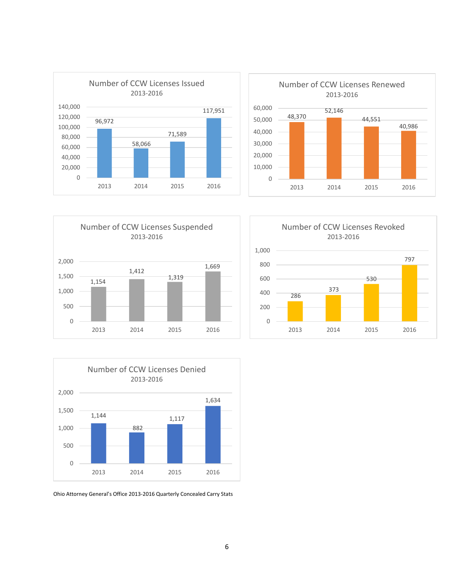









Ohio Attorney General's Office 2013-2016 Quarterly Concealed Carry Stats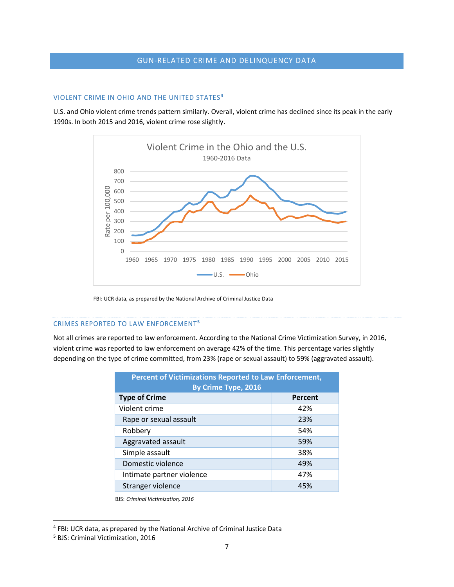# GUN-RELATED CRIME AND DELINQUENCY DATA

#### VIOLENT CRIME IN OHIO AND THE UNITED STATES**<sup>4</sup>**

U.S. and Ohio violent crime trends pattern similarly. Overall, violent crime has declined since its peak in the early 1990s. In both 2015 and 2016, violent crime rose slightly.



FBI: UCR data, as prepared by the National Archive of Criminal Justice Data

#### CRIMES REPORTED TO LAW ENFORCEMENT**<sup>5</sup>**

Not all crimes are reported to law enforcement. According to the National Crime Victimization Survey, in 2016, violent crime was reported to law enforcement on average 42% of the time. This percentage varies slightly depending on the type of crime committed, from 23% (rape or sexual assault) to 59% (aggravated assault).

| Percent of Victimizations Reported to Law Enforcement,<br>By Crime Type, 2016 |         |  |  |  |  |
|-------------------------------------------------------------------------------|---------|--|--|--|--|
| <b>Type of Crime</b>                                                          | Percent |  |  |  |  |
| Violent crime                                                                 | 42%     |  |  |  |  |
| Rape or sexual assault                                                        | 23%     |  |  |  |  |
| Robbery                                                                       | 54%     |  |  |  |  |
| Aggravated assault                                                            | 59%     |  |  |  |  |
| Simple assault                                                                | 38%     |  |  |  |  |
| Domestic violence                                                             | 49%     |  |  |  |  |
| Intimate partner violence                                                     | 47%     |  |  |  |  |
| Stranger violence                                                             | 45%     |  |  |  |  |

BJS: *Criminal Victimization, 2016*

<sup>4</sup> FBI: UCR data, as prepared by the National Archive of Criminal Justice Data

<sup>5</sup> BJS: Criminal Victimization, 2016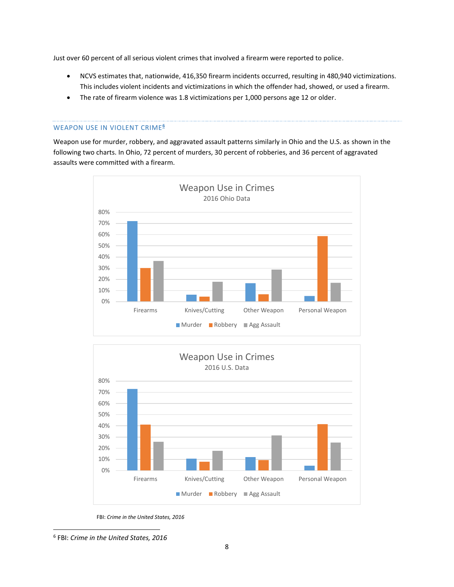Just over 60 percent of all serious violent crimes that involved a firearm were reported to police.

- NCVS estimates that, nationwide, 416,350 firearm incidents occurred, resulting in 480,940 victimizations. This includes violent incidents and victimizations in which the offender had, showed, or used a firearm.
- The rate of firearm violence was 1.8 victimizations per 1,000 persons age 12 or older.

#### WEAPON USE IN VIOLENT CRIME**<sup>6</sup>**

Weapon use for murder, robbery, and aggravated assault patterns similarly in Ohio and the U.S. as shown in the following two charts. In Ohio, 72 percent of murders, 30 percent of robberies, and 36 percent of aggravated assaults were committed with a firearm.





FBI: *Crime in the United States, 2016*

<sup>6</sup> FBI: *Crime in the United States, 2016*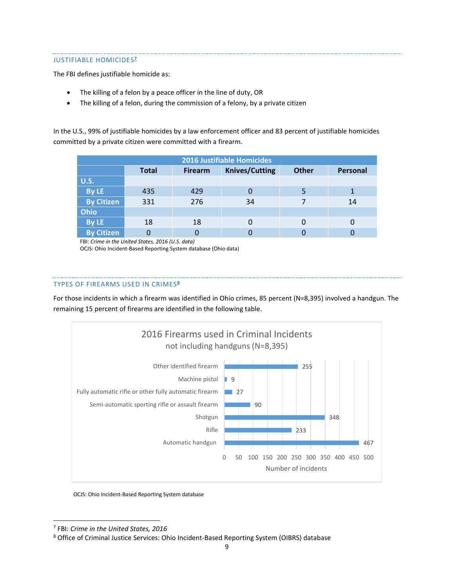## JUSTIFIABLE HOMICIDES **7**

The FBI defines justifiable homicide as:

- The killing of a felon by a peace officer in the line of duty, OR
- The killing of a felon, during the commission of a felony, by a private citizen

In the U.S., 99% of justifiable homicides by a law enforcement officer and 83 percent of justifiable homicides committed by a private citizen were committed with a firearm.

| <b>2016 Justifiable Homicides</b> |              |                |                       |              |          |  |  |  |
|-----------------------------------|--------------|----------------|-----------------------|--------------|----------|--|--|--|
|                                   | <b>Total</b> | <b>Firearm</b> | <b>Knives/Cutting</b> | <b>Other</b> | Personal |  |  |  |
| <b>U.S.</b>                       |              |                |                       |              |          |  |  |  |
| By LE                             | 435          | 429            |                       |              |          |  |  |  |
| <b>By Citizen</b>                 | 331          | 276            | 34                    |              | 14       |  |  |  |
| <b>Ohio</b>                       |              |                |                       |              |          |  |  |  |
| By LE                             | 18           | 18             |                       |              |          |  |  |  |
| <b>By Citizen</b>                 |              |                |                       |              |          |  |  |  |

FBI: *Crime in the United States, 2016 (U.S. data)*

OCJS: Ohio Incident-Based Reporting System database (Ohio data)

#### TYPES OF FIREARMS USED IN CRIMES**<sup>8</sup>**

For those incidents in which a firearm was identified in Ohio crimes, 85 percent (N=8,395) involved a handgun. The remaining 15 percent of firearms are identified in the following table.



OCJS: Ohio Incident-Based Reporting System database

7 FBI: *Crime in the United States, 2016*

<sup>8</sup> Office of Criminal Justice Services: Ohio Incident-Based Reporting System (OIBRS) database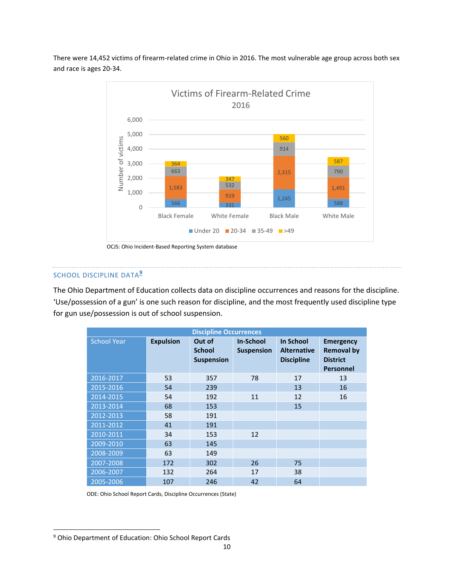There were 14,452 victims of firearm-related crime in Ohio in 2016. The most vulnerable age group across both sex and race is ages 20-34.



OCJS: Ohio Incident-Based Reporting System database

## SCHOOL DISCIPLINE DATA**<sup>9</sup>**

The Ohio Department of Education collects data on discipline occurrences and reasons for the discipline. 'Use/possession of a gun' is one such reason for discipline, and the most frequently used discipline type for gun use/possession is out of school suspension.

| <b>Discipline Occurrences</b> |                  |                                              |                                       |                                                      |                                                                              |  |  |
|-------------------------------|------------------|----------------------------------------------|---------------------------------------|------------------------------------------------------|------------------------------------------------------------------------------|--|--|
| <b>School Year</b>            | <b>Expulsion</b> | Out of<br><b>School</b><br><b>Suspension</b> | <b>In-School</b><br><b>Suspension</b> | In School<br><b>Alternative</b><br><b>Discipline</b> | <b>Emergency</b><br><b>Removal by</b><br><b>District</b><br><b>Personnel</b> |  |  |
| 2016-2017                     | 53               | 357                                          | 78                                    | 17                                                   | 13                                                                           |  |  |
| 2015-2016                     | 54               | 239                                          |                                       | 13                                                   | 16                                                                           |  |  |
| 2014-2015                     | 54               | 192                                          | 11                                    | 12                                                   | 16                                                                           |  |  |
| 2013-2014                     | 68               | 153                                          |                                       | 15                                                   |                                                                              |  |  |
| 2012-2013                     | 58               | 191                                          |                                       |                                                      |                                                                              |  |  |
| 2011-2012                     | 41               | 191                                          |                                       |                                                      |                                                                              |  |  |
| 2010-2011                     | 34               | 153                                          | 12                                    |                                                      |                                                                              |  |  |
| 2009-2010                     | 63               | 145                                          |                                       |                                                      |                                                                              |  |  |
| 2008-2009                     | 63               | 149                                          |                                       |                                                      |                                                                              |  |  |
| 2007-2008                     | 172              | 302                                          | 26                                    | 75                                                   |                                                                              |  |  |
| 2006-2007                     | 132              | 264                                          | 17                                    | 38                                                   |                                                                              |  |  |
| 2005-2006                     | 107              | 246                                          | 42                                    | 64                                                   |                                                                              |  |  |

ODE: Ohio School Report Cards, Discipline Occurrences (State)

<sup>9</sup> Ohio Department of Education: Ohio School Report Cards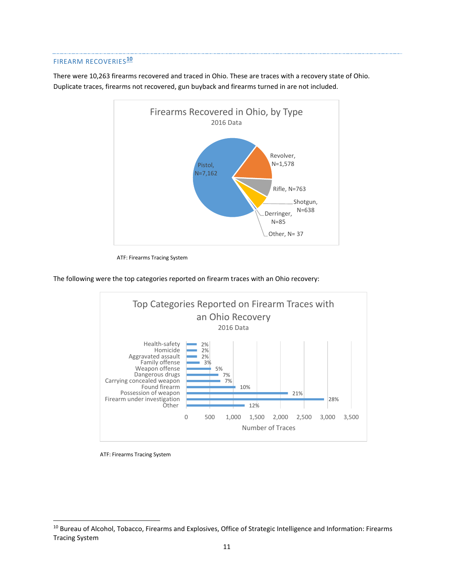## FIREARM RECOVERIES**<sup>10</sup>**

There were 10,263 firearms recovered and traced in Ohio. These are traces with a recovery state of Ohio. Duplicate traces, firearms not recovered, gun buyback and firearms turned in are not included.



ATF: Firearms Tracing System

The following were the top categories reported on firearm traces with an Ohio recovery:



ATF: Firearms Tracing System

<sup>&</sup>lt;sup>10</sup> Bureau of Alcohol, Tobacco, Firearms and Explosives, Office of Strategic Intelligence and Information: Firearms Tracing System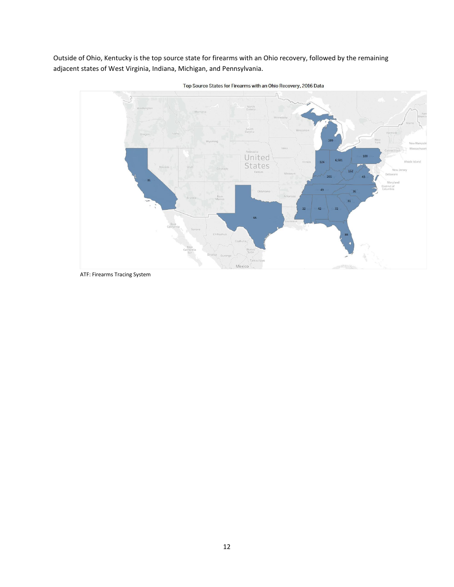Outside of Ohio, Kentucky is the top source state for firearms with an Ohio recovery, followed by the remaining adjacent states of West Virginia, Indiana, Michigan, and Pennsylvania.



Top Source States for Firearms with an Ohio Recovery, 2016 Data

ATF: Firearms Tracing System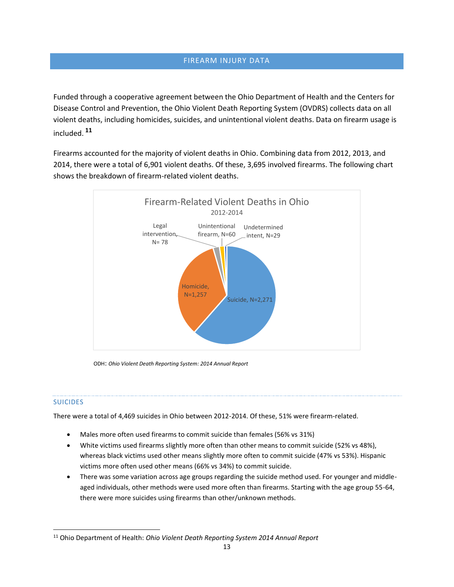# FIREARM INJURY DATA

Funded through a cooperative agreement between the Ohio Department of Health and the Centers for Disease Control and Prevention, the Ohio Violent Death Reporting System (OVDRS) collects data on all violent deaths, including homicides, suicides, and unintentional violent deaths. Data on firearm usage is included. **<sup>11</sup>**

Firearms accounted for the majority of violent deaths in Ohio. Combining data from 2012, 2013, and 2014, there were a total of 6,901 violent deaths. Of these, 3,695 involved firearms. The following chart shows the breakdown of firearm-related violent deaths.



ODH: *Ohio Violent Death Reporting System: 2014 Annual Report*

# SUICIDES

 $\overline{a}$ 

There were a total of 4,469 suicides in Ohio between 2012-2014. Of these, 51% were firearm-related.

- Males more often used firearms to commit suicide than females (56% vs 31%)
- White victims used firearms slightly more often than other means to commit suicide (52% vs 48%), whereas black victims used other means slightly more often to commit suicide (47% vs 53%). Hispanic victims more often used other means (66% vs 34%) to commit suicide.
- There was some variation across age groups regarding the suicide method used. For younger and middleaged individuals, other methods were used more often than firearms. Starting with the age group 55-64, there were more suicides using firearms than other/unknown methods.

<sup>11</sup> Ohio Department of Health: *Ohio Violent Death Reporting System 2014 Annual Report*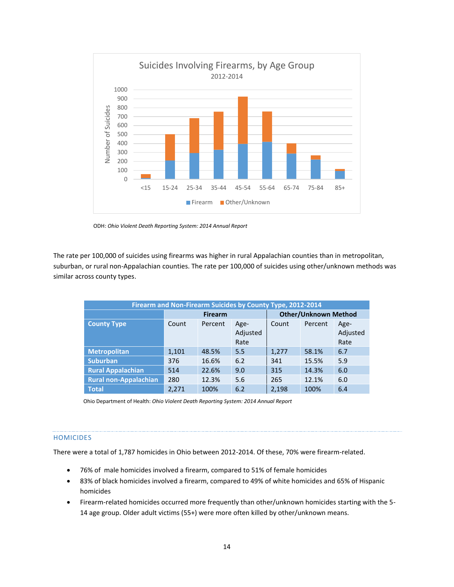

ODH: *Ohio Violent Death Reporting System: 2014 Annual Report*

The rate per 100,000 of suicides using firearms was higher in rural Appalachian counties than in metropolitan, suburban, or rural non-Appalachian counties. The rate per 100,000 of suicides using other/unknown methods was similar across county types.

| Firearm and Non-Firearm Suicides by County Type, 2012-2014 |                |         |                          |                             |         |                          |  |  |
|------------------------------------------------------------|----------------|---------|--------------------------|-----------------------------|---------|--------------------------|--|--|
|                                                            | <b>Firearm</b> |         |                          | <b>Other/Unknown Method</b> |         |                          |  |  |
| <b>County Type</b>                                         | Count          | Percent | Age-<br>Adjusted<br>Rate | Count                       | Percent | Age-<br>Adjusted<br>Rate |  |  |
| <b>Metropolitan</b>                                        | 1,101          | 48.5%   | 5.5                      | 1,277                       | 58.1%   | 6.7                      |  |  |
| <b>Suburban</b>                                            | 376            | 16.6%   | 6.2                      | 341                         | 15.5%   | 5.9                      |  |  |
| <b>Rural Appalachian</b>                                   | 514            | 22.6%   | 9.0                      | 315                         | 14.3%   | 6.0                      |  |  |
| <b>Rural non-Appalachian</b>                               | 280            | 12.3%   | 5.6                      | 265                         | 12.1%   | 6.0                      |  |  |
| <b>Total</b>                                               | 2.271          | 100%    | 6.2                      | 2,198                       | 100%    | 6.4                      |  |  |

Ohio Department of Health: *Ohio Violent Death Reporting System: 2014 Annual Report*

#### HOMICIDES

There were a total of 1,787 homicides in Ohio between 2012-2014. Of these, 70% were firearm-related.

- 76% of male homicides involved a firearm, compared to 51% of female homicides
- 83% of black homicides involved a firearm, compared to 49% of white homicides and 65% of Hispanic homicides
- Firearm-related homicides occurred more frequently than other/unknown homicides starting with the 5- 14 age group. Older adult victims (55+) were more often killed by other/unknown means.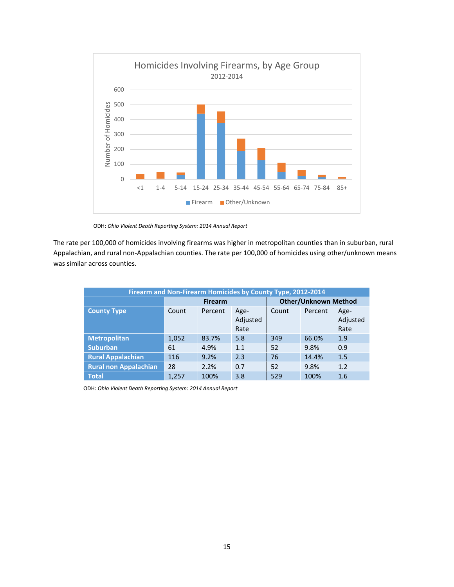

ODH: *Ohio Violent Death Reporting System: 2014 Annual Report*

The rate per 100,000 of homicides involving firearms was higher in metropolitan counties than in suburban, rural Appalachian, and rural non-Appalachian counties. The rate per 100,000 of homicides using other/unknown means was similar across counties.

| Firearm and Non-Firearm Homicides by County Type, 2012-2014 |                |         |                          |                             |         |                          |  |  |
|-------------------------------------------------------------|----------------|---------|--------------------------|-----------------------------|---------|--------------------------|--|--|
|                                                             | <b>Firearm</b> |         |                          | <b>Other/Unknown Method</b> |         |                          |  |  |
| <b>County Type</b>                                          | Count          | Percent | Age-<br>Adjusted<br>Rate | Count                       | Percent | Age-<br>Adjusted<br>Rate |  |  |
| <b>Metropolitan</b>                                         | 1,052          | 83.7%   | 5.8                      | 349                         | 66.0%   | 1.9                      |  |  |
| <b>Suburban</b>                                             | 61             | 4.9%    | 1.1                      | 52                          | 9.8%    | 0.9                      |  |  |
| <b>Rural Appalachian</b>                                    | 116            | 9.2%    | 2.3                      | 76                          | 14.4%   | 1.5                      |  |  |
| <b>Rural non Appalachian</b>                                | 28             | 2.2%    | 0.7                      | 52                          | 9.8%    | 1.2                      |  |  |
| <b>Total</b>                                                | 1,257          | 100%    | 3.8                      | 529                         | 100%    | 1.6                      |  |  |

ODH: *Ohio Violent Death Reporting System: 2014 Annual Report*